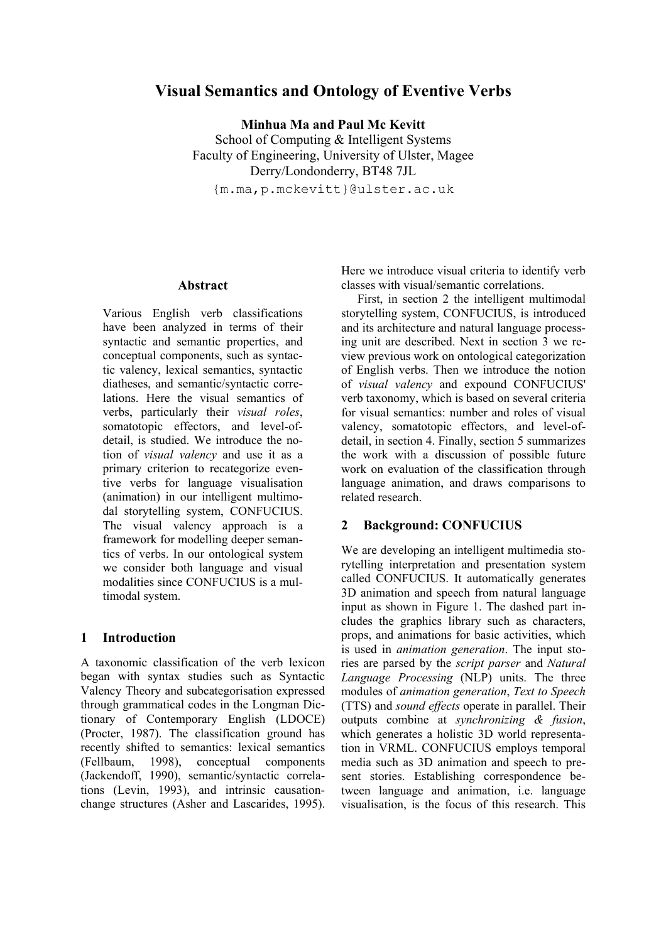# **Visual Semantics and Ontology of Eventive Verbs**

**Minhua Ma and Paul Mc Kevitt**  School of Computing & Intelligent Systems Faculty of Engineering, University of Ulster, Magee Derry/Londonderry, BT48 7JL

{m.ma,p.mckevitt}@ulster.ac.uk

### **Abstract**

Various English verb classifications have been analyzed in terms of their syntactic and semantic properties, and conceptual components, such as syntactic valency, lexical semantics, syntactic diatheses, and semantic/syntactic correlations. Here the visual semantics of verbs, particularly their *visual roles*, somatotopic effectors, and level-ofdetail, is studied. We introduce the notion of *visual valency* and use it as a primary criterion to recategorize eventive verbs for language visualisation (animation) in our intelligent multimodal storytelling system, CONFUCIUS. The visual valency approach is a framework for modelling deeper semantics of verbs. In our ontological system we consider both language and visual modalities since CONFUCIUS is a multimodal system.

### **1 Introduction**

A taxonomic classification of the verb lexicon began with syntax studies such as Syntactic Valency Theory and subcategorisation expressed through grammatical codes in the Longman Dictionary of Contemporary English (LDOCE) (Procter, 1987). The classification ground has recently shifted to semantics: lexical semantics (Fellbaum, 1998), conceptual components (Jackendoff, 1990), semantic/syntactic correlations (Levin, 1993), and intrinsic causationchange structures (Asher and Lascarides, 1995). Here we introduce visual criteria to identify verb classes with visual/semantic correlations.

First, in section 2 the intelligent multimodal storytelling system, CONFUCIUS, is introduced and its architecture and natural language processing unit are described. Next in section 3 we review previous work on ontological categorization of English verbs. Then we introduce the notion of *visual valency* and expound CONFUCIUS' verb taxonomy, which is based on several criteria for visual semantics: number and roles of visual valency, somatotopic effectors, and level-ofdetail, in section 4. Finally, section 5 summarizes the work with a discussion of possible future work on evaluation of the classification through language animation, and draws comparisons to related research.

### **2 Background: CONFUCIUS**

We are developing an intelligent multimedia storytelling interpretation and presentation system called CONFUCIUS. It automatically generates 3D animation and speech from natural language input as shown in Figure 1. The dashed part includes the graphics library such as characters, props, and animations for basic activities, which is used in *animation generation*. The input stories are parsed by the *script parser* and *Natural Language Processing* (NLP) units. The three modules of *animation generation*, *Text to Speech* (TTS) and *sound effects* operate in parallel. Their outputs combine at *synchronizing & fusion*, which generates a holistic 3D world representation in VRML. CONFUCIUS employs temporal media such as 3D animation and speech to present stories. Establishing correspondence between language and animation, i.e. language visualisation, is the focus of this research. This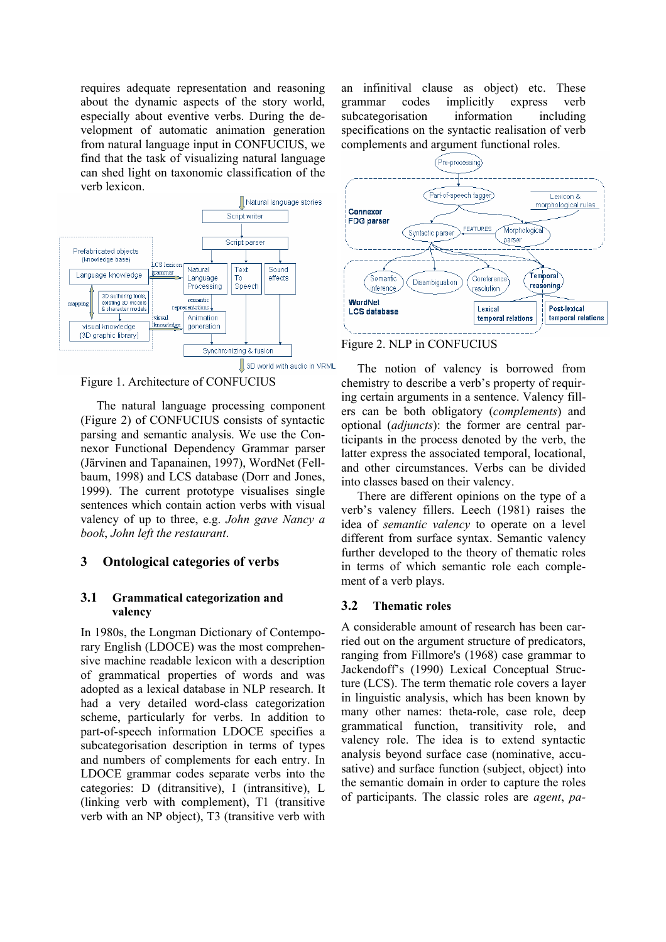requires adequate representation and reasoning about the dynamic aspects of the story world, especially about eventive verbs. During the development of automatic animation generation from natural language input in CONFUCIUS, we find that the task of visualizing natural language can shed light on taxonomic classification of the verb lexicon.



Figure 1. Architecture of CONFUCIUS

The natural language processing component (Figure 2) of CONFUCIUS consists of syntactic parsing and semantic analysis. We use the Connexor Functional Dependency Grammar parser (Järvinen and Tapanainen, 1997), WordNet (Fellbaum, 1998) and LCS database (Dorr and Jones, 1999). The current prototype visualises single sentences which contain action verbs with visual valency of up to three, e.g. *John gave Nancy a book*, *John left the restaurant*.

### **3 Ontological categories of verbs**

### **3.1 Grammatical categorization and valency**

In 1980s, the Longman Dictionary of Contemporary English (LDOCE) was the most comprehensive machine readable lexicon with a description of grammatical properties of words and was adopted as a lexical database in NLP research. It had a very detailed word-class categorization scheme, particularly for verbs. In addition to part-of-speech information LDOCE specifies a subcategorisation description in terms of types and numbers of complements for each entry. In LDOCE grammar codes separate verbs into the categories: D (ditransitive), I (intransitive), L (linking verb with complement), T1 (transitive verb with an NP object), T3 (transitive verb with an infinitival clause as object) etc. These grammar codes implicitly express verb subcategorisation information including specifications on the syntactic realisation of verb complements and argument functional roles.





The notion of valency is borrowed from chemistry to describe a verb's property of requiring certain arguments in a sentence. Valency fillers can be both obligatory (*complements*) and optional (*adjuncts*): the former are central participants in the process denoted by the verb, the latter express the associated temporal, locational, and other circumstances. Verbs can be divided into classes based on their valency.

There are different opinions on the type of a verb's valency fillers. Leech (1981) raises the idea of *semantic valency* to operate on a level different from surface syntax. Semantic valency further developed to the theory of thematic roles in terms of which semantic role each complement of a verb plays.

## **3.2 Thematic roles**

A considerable amount of research has been carried out on the argument structure of predicators, ranging from Fillmore's (1968) case grammar to Jackendoff's (1990) Lexical Conceptual Structure (LCS). The term thematic role covers a layer in linguistic analysis, which has been known by many other names: theta-role, case role, deep grammatical function, transitivity role, and valency role. The idea is to extend syntactic analysis beyond surface case (nominative, accusative) and surface function (subject, object) into the semantic domain in order to capture the roles of participants. The classic roles are *agent*, *pa-*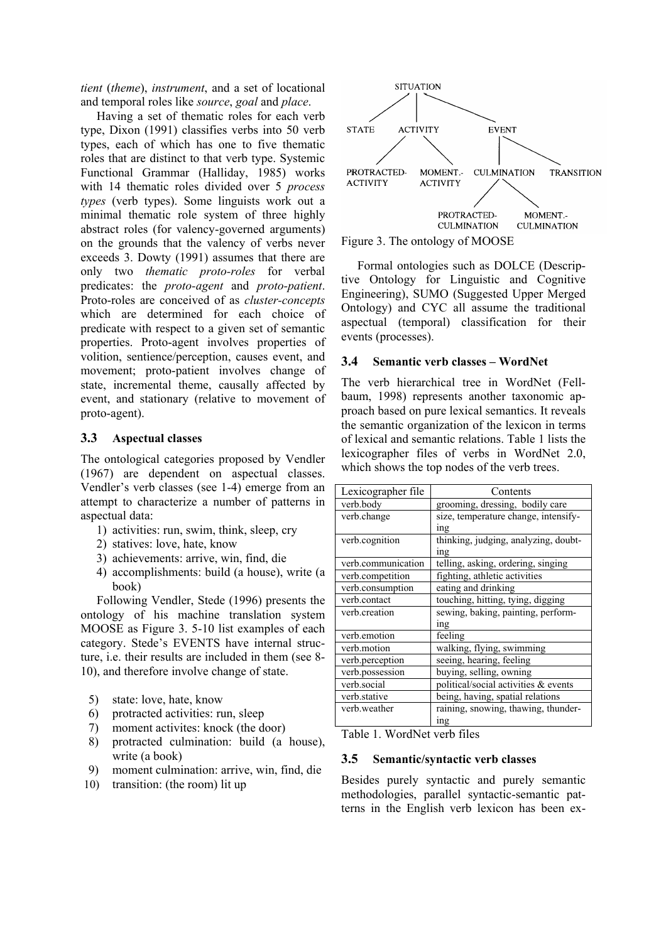*tient* (*theme*), *instrument*, and a set of locational and temporal roles like *source*, *goal* and *place*.

Having a set of thematic roles for each verb type, Dixon (1991) classifies verbs into 50 verb types, each of which has one to five thematic roles that are distinct to that verb type. Systemic Functional Grammar (Halliday, 1985) works with 14 thematic roles divided over 5 *process types* (verb types). Some linguists work out a minimal thematic role system of three highly abstract roles (for valency-governed arguments) on the grounds that the valency of verbs never exceeds 3. Dowty (1991) assumes that there are only two *thematic proto-roles* for verbal predicates: the *proto-agent* and *proto-patient*. Proto-roles are conceived of as *cluster-concepts* which are determined for each choice of predicate with respect to a given set of semantic properties. Proto-agent involves properties of volition, sentience/perception, causes event, and movement; proto-patient involves change of state, incremental theme, causally affected by event, and stationary (relative to movement of proto-agent).

## **3.3 Aspectual classes**

The ontological categories proposed by Vendler (1967) are dependent on aspectual classes. Vendler's verb classes (see 1-4) emerge from an attempt to characterize a number of patterns in aspectual data:

- 1) activities: run, swim, think, sleep, cry
- 2) statives: love, hate, know
- 3) achievements: arrive, win, find, die
- 4) accomplishments: build (a house), write (a book)

Following Vendler, Stede (1996) presents the ontology of his machine translation system MOOSE as Figure 3. 5-10 list examples of each category. Stede's EVENTS have internal structure, i.e. their results are included in them (see 8- 10), and therefore involve change of state.

- 5) state: love, hate, know
- 6) protracted activities: run, sleep
- 
- 7) moment activites: knock (the door) Table 1. WordNet verb files 8) protracted culmination: build (a house), write (a book) **3.5 Semantic/syntactic verb classes**
- 9) moment culmination: arrive, win, find, die
- 10) transition: (the room) lit up





Formal ontologies such as DOLCE (Descriptive Ontology for Linguistic and Cognitive Engineering), SUMO (Suggested Upper Merged Ontology) and CYC all assume the traditional aspectual (temporal) classification for their events (processes).

## **3.4 Semantic verb classes – WordNet**

The verb hierarchical tree in WordNet (Fellbaum, 1998) represents another taxonomic approach based on pure lexical semantics. It reveals the semantic organization of the lexicon in terms of lexical and semantic relations. Table 1 lists the lexicographer files of verbs in WordNet 2.0, which shows the top nodes of the verb trees.

| Lexicographer file | Contents                             |  |
|--------------------|--------------------------------------|--|
| verb.body          | grooming, dressing, bodily care      |  |
| verb.change        | size, temperature change, intensify- |  |
|                    | <sub>1</sub> ng                      |  |
| verb.cognition     | thinking, judging, analyzing, doubt- |  |
|                    | <sub>1</sub> ng                      |  |
| verb.communication | telling, asking, ordering, singing   |  |
| verb.competition   | fighting, athletic activities        |  |
| verb.consumption   | eating and drinking                  |  |
| verb.contact       | touching, hitting, tying, digging    |  |
| verb.creation      | sewing, baking, painting, perform-   |  |
|                    | <sub>1</sub> ng                      |  |
| verb.emotion       | feeling                              |  |
| verb.motion        | walking, flying, swimming            |  |
| verb.perception    | seeing, hearing, feeling             |  |
| verb.possession    | buying, selling, owning              |  |
| verb.social        | political/social activities & events |  |
| verb.stative       | being, having, spatial relations     |  |
| verb.weather       | raining, snowing, thawing, thunder-  |  |
|                    | <sub>1</sub> ng                      |  |

Besides purely syntactic and purely semantic methodologies, parallel syntactic-semantic patterns in the English verb lexicon has been ex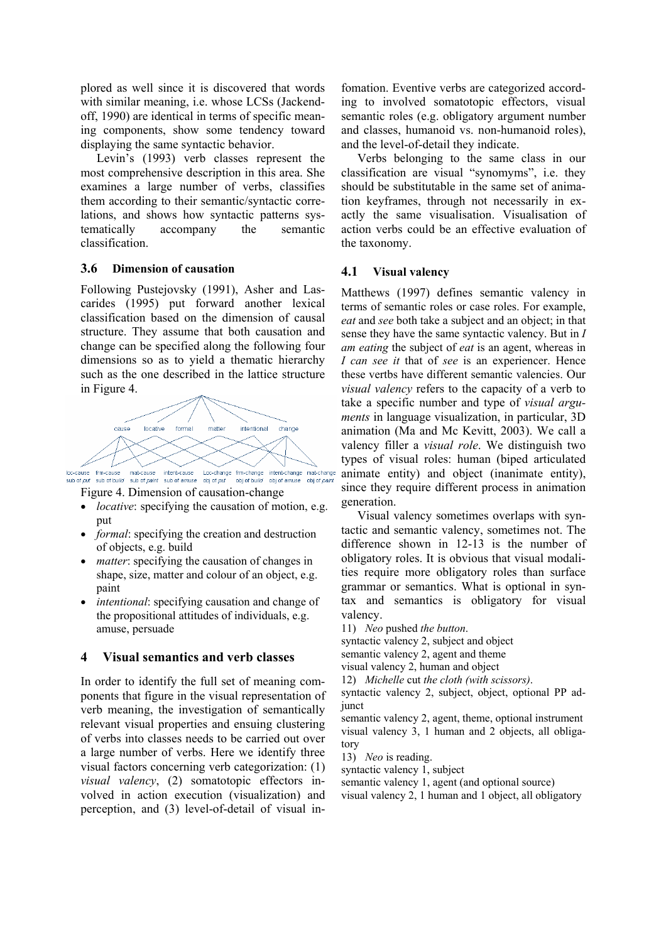plored as well since it is discovered that words with similar meaning, i.e. whose LCSs (Jackendoff, 1990) are identical in terms of specific meaning components, show some tendency toward displaying the same syntactic behavior.

Levin's (1993) verb classes represent the most comprehensive description in this area. She examines a large number of verbs, classifies them according to their semantic/syntactic correlations, and shows how syntactic patterns systematically accompany the semantic classification.

### **3.6 Dimension of causation**

Following Pustejovsky (1991), Asher and Lascarides (1995) put forward another lexical classification based on the dimension of causal structure. They assume that both causation and change can be specified along the following four dimensions so as to yield a thematic hierarchy such as the one described in the lattice structure in Figure 4.



Figure 4. Dimension of causation-change

- *locative*: specifying the causation of motion, e.g. put
- *formal*: specifying the creation and destruction of objects, e.g. build
- *matter*: specifying the causation of changes in shape, size, matter and colour of an object, e.g. paint
- *intentional:* specifying causation and change of the propositional attitudes of individuals, e.g. amuse, persuade

### **4 Visual semantics and verb classes**

In order to identify the full set of meaning components that figure in the visual representation of verb meaning, the investigation of semantically relevant visual properties and ensuing clustering of verbs into classes needs to be carried out over a large number of verbs. Here we identify three visual factors concerning verb categorization: (1) *visual valency*, (2) somatotopic effectors involved in action execution (visualization) and perception, and (3) level-of-detail of visual infomation. Eventive verbs are categorized according to involved somatotopic effectors, visual semantic roles (e.g. obligatory argument number and classes, humanoid vs. non-humanoid roles), and the level-of-detail they indicate.

Verbs belonging to the same class in our classification are visual "synomyms", i.e. they should be substitutable in the same set of animation keyframes, through not necessarily in exactly the same visualisation. Visualisation of action verbs could be an effective evaluation of the taxonomy.

### **4.1 Visual valency**

Matthews (1997) defines semantic valency in terms of semantic roles or case roles. For example, *eat* and *see* both take a subject and an object; in that sense they have the same syntactic valency. But in *I am eating* the subject of *eat* is an agent, whereas in *I can see it* that of *see* is an experiencer. Hence these vertbs have different semantic valencies. Our *visual valency* refers to the capacity of a verb to take a specific number and type of *visual arguments* in language visualization, in particular, 3D animation (Ma and Mc Kevitt, 2003). We call a valency filler a *visual role*. We distinguish two types of visual roles: human (biped articulated animate entity) and object (inanimate entity), since they require different process in animation generation.

Visual valency sometimes overlaps with syntactic and semantic valency, sometimes not. The difference shown in 12-13 is the number of obligatory roles. It is obvious that visual modalities require more obligatory roles than surface grammar or semantics. What is optional in syntax and semantics is obligatory for visual valency.

11) *Neo* pushed *the button*.

syntactic valency 2, subject and object

semantic valency 2, agent and theme

```
visual valency 2, human and object
```
12) *Michelle* cut *the cloth (with scissors)*.

syntactic valency 2, subject, object, optional PP adiunct

semantic valency 2, agent, theme, optional instrument visual valency 3, 1 human and 2 objects, all obligatory

13) *Neo* is reading.

syntactic valency 1, subject

semantic valency 1, agent (and optional source)

visual valency 2, 1 human and 1 object, all obligatory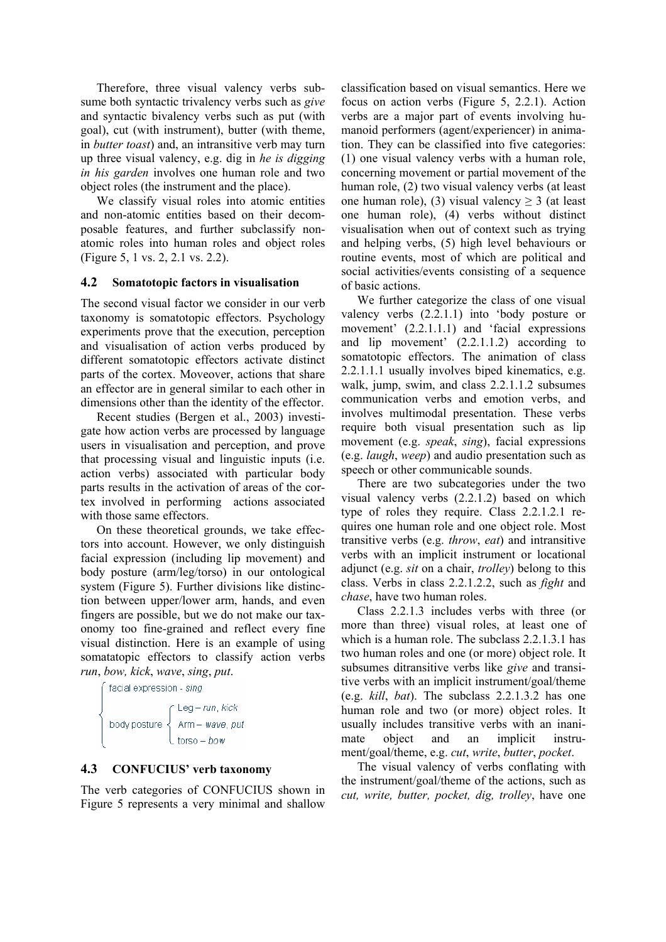Therefore, three visual valency verbs subsume both syntactic trivalency verbs such as *give* and syntactic bivalency verbs such as put (with goal), cut (with instrument), butter (with theme, in *butter toast*) and, an intransitive verb may turn up three visual valency, e.g. dig in *he is digging in his garden* involves one human role and two object roles (the instrument and the place).

We classify visual roles into atomic entities and non-atomic entities based on their decomposable features, and further subclassify nonatomic roles into human roles and object roles (Figure 5, 1 vs. 2, 2.1 vs. 2.2).

## **4.2 Somatotopic factors in visualisation**

The second visual factor we consider in our verb taxonomy is somatotopic effectors. Psychology experiments prove that the execution, perception and visualisation of action verbs produced by different somatotopic effectors activate distinct parts of the cortex. Moveover, actions that share an effector are in general similar to each other in dimensions other than the identity of the effector.

Recent studies (Bergen et al., 2003) investigate how action verbs are processed by language users in visualisation and perception, and prove that processing visual and linguistic inputs (i.e. action verbs) associated with particular body parts results in the activation of areas of the cortex involved in performing actions associated with those same effectors.

On these theoretical grounds, we take effectors into account. However, we only distinguish facial expression (including lip movement) and body posture (arm/leg/torso) in our ontological system (Figure 5). Further divisions like distinction between upper/lower arm, hands, and even fingers are possible, but we do not make our taxonomy too fine-grained and reflect every fine visual distinction. Here is an example of using somatatopic effectors to classify action verbs *run*, *bow, kick*, *wave*, *sing*, *put*.



## **4.3 CONFUCIUS' verb taxonomy**

The verb categories of CONFUCIUS shown in Figure 5 represents a very minimal and shallow

classification based on visual semantics. Here we focus on action verbs (Figure 5, 2.2.1). Action verbs are a major part of events involving humanoid performers (agent/experiencer) in animation. They can be classified into five categories: (1) one visual valency verbs with a human role, concerning movement or partial movement of the human role, (2) two visual valency verbs (at least one human role), (3) visual valency  $\geq$  3 (at least one human role), (4) verbs without distinct visualisation when out of context such as trying and helping verbs, (5) high level behaviours or routine events, most of which are political and social activities/events consisting of a sequence of basic actions.

We further categorize the class of one visual valency verbs (2.2.1.1) into 'body posture or movement' (2.2.1.1.1) and 'facial expressions and lip movement' (2.2.1.1.2) according to somatotopic effectors. The animation of class 2.2.1.1.1 usually involves biped kinematics, e.g. walk, jump, swim, and class 2.2.1.1.2 subsumes communication verbs and emotion verbs, and involves multimodal presentation. These verbs require both visual presentation such as lip movement (e.g. *speak*, *sing*), facial expressions (e.g. *laugh*, *weep*) and audio presentation such as speech or other communicable sounds.

There are two subcategories under the two visual valency verbs (2.2.1.2) based on which type of roles they require. Class 2.2.1.2.1 requires one human role and one object role. Most transitive verbs (e.g. *throw*, *eat*) and intransitive verbs with an implicit instrument or locational adjunct (e.g. *sit* on a chair, *trolley*) belong to this class. Verbs in class 2.2.1.2.2, such as *fight* and *chase*, have two human roles.

Class 2.2.1.3 includes verbs with three (or more than three) visual roles, at least one of which is a human role. The subclass 2.2.1.3.1 has two human roles and one (or more) object role. It subsumes ditransitive verbs like *give* and transitive verbs with an implicit instrument/goal/theme (e.g. *kill*, *bat*). The subclass 2.2.1.3.2 has one human role and two (or more) object roles. It usually includes transitive verbs with an inanimate object and an implicit instrument/goal/theme, e.g. *cut*, *write*, *butter*, *pocket*.

The visual valency of verbs conflating with the instrument/goal/theme of the actions, such as *cut, write, butter, pocket, dig, trolley*, have one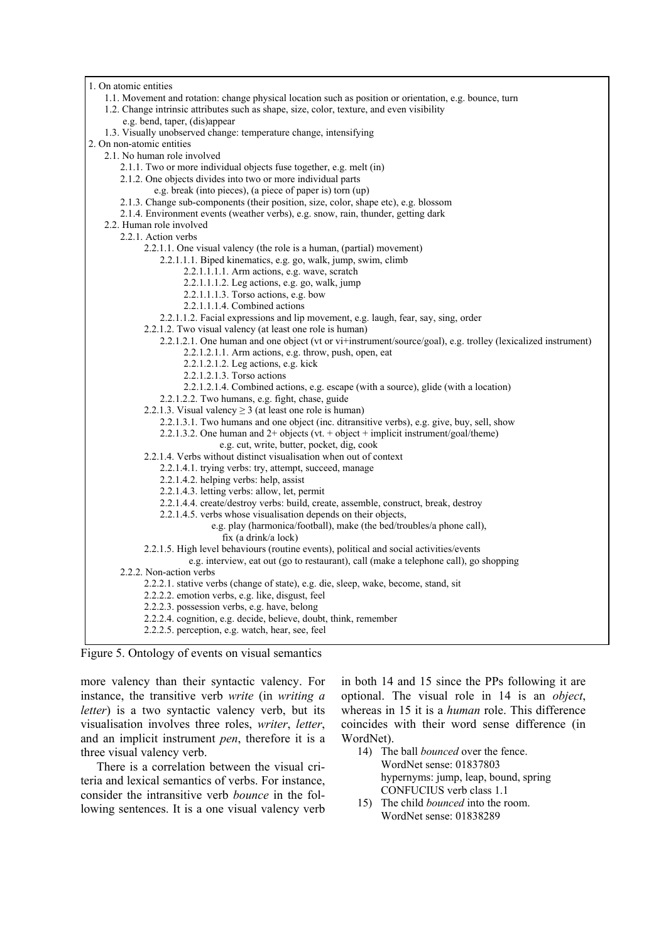| 1. On atomic entities                                                                                                                                 |  |  |  |
|-------------------------------------------------------------------------------------------------------------------------------------------------------|--|--|--|
| 1.1. Movement and rotation: change physical location such as position or orientation, e.g. bounce, turn                                               |  |  |  |
| 1.2. Change intrinsic attributes such as shape, size, color, texture, and even visibility                                                             |  |  |  |
| e.g. bend, taper, (dis)appear                                                                                                                         |  |  |  |
| 1.3. Visually unobserved change: temperature change, intensifying                                                                                     |  |  |  |
| 2. On non-atomic entities                                                                                                                             |  |  |  |
| 2.1. No human role involved                                                                                                                           |  |  |  |
| 2.1.1. Two or more individual objects fuse together, e.g. melt (in)                                                                                   |  |  |  |
| 2.1.2. One objects divides into two or more individual parts                                                                                          |  |  |  |
| e.g. break (into pieces), (a piece of paper is) torn (up)                                                                                             |  |  |  |
| 2.1.3. Change sub-components (their position, size, color, shape etc), e.g. blossom                                                                   |  |  |  |
| 2.1.4. Environment events (weather verbs), e.g. snow, rain, thunder, getting dark                                                                     |  |  |  |
| 2.2. Human role involved<br>2.2.1. Action verbs                                                                                                       |  |  |  |
| 2.2.1.1. One visual valency (the role is a human, (partial) movement)                                                                                 |  |  |  |
| 2.2.1.1.1. Biped kinematics, e.g. go, walk, jump, swim, climb                                                                                         |  |  |  |
| 2.2.1.1.1.1. Arm actions, e.g. wave, scratch                                                                                                          |  |  |  |
| 2.2.1.1.1.2. Leg actions, e.g. go, walk, jump                                                                                                         |  |  |  |
| 2.2.1.1.1.3. Torso actions, e.g. bow                                                                                                                  |  |  |  |
| $2.2.1.1.1.4$ . Combined actions                                                                                                                      |  |  |  |
| 2.2.1.1.2. Facial expressions and lip movement, e.g. laugh, fear, say, sing, order                                                                    |  |  |  |
| 2.2.1.2. Two visual valency (at least one role is human)                                                                                              |  |  |  |
| 2.2.1.2.1. One human and one object (vt or vi+instrument/source/goal), e.g. trolley (lexicalized instrument)                                          |  |  |  |
| 2.2.1.2.1.1. Arm actions, e.g. throw, push, open, eat                                                                                                 |  |  |  |
| 2.2.1.2.1.2. Leg actions, e.g. kick                                                                                                                   |  |  |  |
| 2.2.1.2.1.3. Torso actions                                                                                                                            |  |  |  |
| 2.2.1.2.1.4. Combined actions, e.g. escape (with a source), glide (with a location)                                                                   |  |  |  |
| 2.2.1.2.2. Two humans, e.g. fight, chase, guide                                                                                                       |  |  |  |
| 2.2.1.3. Visual valency $\geq$ 3 (at least one role is human)                                                                                         |  |  |  |
| 2.2.1.3.1. Two humans and one object (inc. ditransitive verbs), e.g. give, buy, sell, show                                                            |  |  |  |
| 2.2.1.3.2. One human and $2+$ objects (vt. + object + implicit instrument/goal/theme)                                                                 |  |  |  |
| e.g. cut, write, butter, pocket, dig, cook                                                                                                            |  |  |  |
| 2.2.1.4. Verbs without distinct visualisation when out of context                                                                                     |  |  |  |
| 2.2.1.4.1. trying verbs: try, attempt, succeed, manage                                                                                                |  |  |  |
| 2.2.1.4.2. helping verbs: help, assist                                                                                                                |  |  |  |
| 2.2.1.4.3. letting verbs: allow, let, permit                                                                                                          |  |  |  |
| 2.2.1.4.4. create/destroy verbs: build, create, assemble, construct, break, destroy<br>2.2.1.4.5. verbs whose visualisation depends on their objects, |  |  |  |
| e.g. play (harmonica/football), make (the bed/troubles/a phone call),                                                                                 |  |  |  |
| fix (a drink/a lock)                                                                                                                                  |  |  |  |
| 2.2.1.5. High level behaviours (routine events), political and social activities/events                                                               |  |  |  |
| e.g. interview, eat out (go to restaurant), call (make a telephone call), go shopping                                                                 |  |  |  |
| 2.2.2. Non-action verbs                                                                                                                               |  |  |  |
| 2.2.2.1. stative verbs (change of state), e.g. die, sleep, wake, become, stand, sit                                                                   |  |  |  |
| 2.2.2.2. emotion verbs, e.g. like, disgust, feel                                                                                                      |  |  |  |
| 2.2.2.3. possession verbs, e.g. have, belong                                                                                                          |  |  |  |
| 2.2.2.4. cognition, e.g. decide, believe, doubt, think, remember                                                                                      |  |  |  |
| 2.2.2.5. perception, e.g. watch, hear, see, feel                                                                                                      |  |  |  |
|                                                                                                                                                       |  |  |  |

Figure 5. Ontology of events on visual semantics

more valency than their syntactic valency. For instance, the transitive verb *write* (in *writing a letter*) is a two syntactic valency verb, but its visualisation involves three roles, *writer*, *letter*, and an implicit instrument *pen*, therefore it is a three visual valency verb.

There is a correlation between the visual criteria and lexical semantics of verbs. For instance, consider the intransitive verb *bounce* in the following sentences. It is a one visual valency verb

in both 14 and 15 since the PPs following it are optional. The visual role in 14 is an *object*, whereas in 15 it is a *human* role. This difference coincides with their word sense difference (in WordNet).

- 14) The ball *bounced* over the fence. WordNet sense: 01837803 hypernyms: jump, leap, bound, spring CONFUCIUS verb class 1.1
- 15) The child *bounced* into the room. WordNet sense: 01838289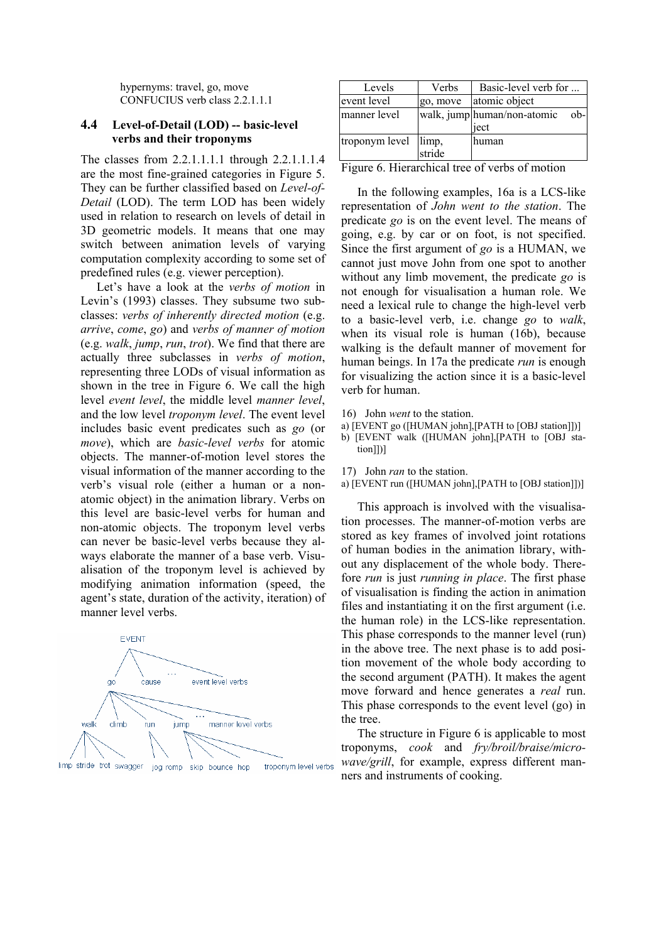hypernyms: travel, go, move CONFUCIUS verb class 2.2.1.1.1

### **4.4 Level-of-Detail (LOD) -- basic-level verbs and their troponyms**

The classes from 2.2.1.1.1.1 through 2.2.1.1.1.4 are the most fine-grained categories in Figure 5. They can be further classified based on *Level-of-Detail* (LOD). The term LOD has been widely used in relation to research on levels of detail in 3D geometric models. It means that one may switch between animation levels of varying computation complexity according to some set of predefined rules (e.g. viewer perception).

Let's have a look at the *verbs of motion* in Levin's (1993) classes. They subsume two subclasses: *verbs of inherently directed motion* (e.g. *arrive*, *come*, *go*) and *verbs of manner of motion* (e.g. *walk*, *jump*, *run*, *trot*). We find that there are actually three subclasses in *verbs of motion*, representing three LODs of visual information as shown in the tree in Figure 6. We call the high level *event level*, the middle level *manner level*, and the low level *troponym level*. The event level includes basic event predicates such as *go* (or *move*), which are *basic-level verbs* for atomic objects. The manner-of-motion level stores the visual information of the manner according to the verb's visual role (either a human or a nonatomic object) in the animation library. Verbs on this level are basic-level verbs for human and non-atomic objects. The troponym level verbs can never be basic-level verbs because they always elaborate the manner of a base verb. Visualisation of the troponym level is achieved by modifying animation information (speed, the agent's state, duration of the activity, iteration) of manner level verbs.



| Levels                | Verbs    | Basic-level verb for                         |
|-----------------------|----------|----------------------------------------------|
| event level           | go, move | atomic object                                |
| manner level          |          | walk, jump human/non-atomic<br>$ob-$<br>iect |
| troponym level  limp, | stride   | human                                        |

Figure 6. Hierarchical tree of verbs of motion

In the following examples, 16a is a LCS-like representation of *John went to the station*. The predicate *go* is on the event level. The means of going, e.g. by car or on foot, is not specified. Since the first argument of *go* is a HUMAN, we cannot just move John from one spot to another without any limb movement, the predicate *go* is not enough for visualisation a human role. We need a lexical rule to change the high-level verb to a basic-level verb, i.e. change *go* to *walk*, when its visual role is human (16b), because walking is the default manner of movement for human beings. In 17a the predicate *run* is enough for visualizing the action since it is a basic-level verb for human.

- 16) John *went* to the station.
- a) [EVENT go ([HUMAN john],[PATH to [OBJ station]])]

b) [EVENT walk ([HUMAN john],[PATH to [OBJ station]])]

17) John *ran* to the station.

a) [EVENT run ([HUMAN john],[PATH to [OBJ station]])]

This approach is involved with the visualisation processes. The manner-of-motion verbs are stored as key frames of involved joint rotations of human bodies in the animation library, without any displacement of the whole body. Therefore *run* is just *running in place*. The first phase of visualisation is finding the action in animation files and instantiating it on the first argument (i.e. the human role) in the LCS-like representation. This phase corresponds to the manner level (run) in the above tree. The next phase is to add position movement of the whole body according to the second argument (PATH). It makes the agent move forward and hence generates a *real* run. This phase corresponds to the event level (go) in the tree.

The structure in Figure 6 is applicable to most troponyms, *cook* and *fry/broil/braise/microwave/grill*, for example, express different manners and instruments of cooking.